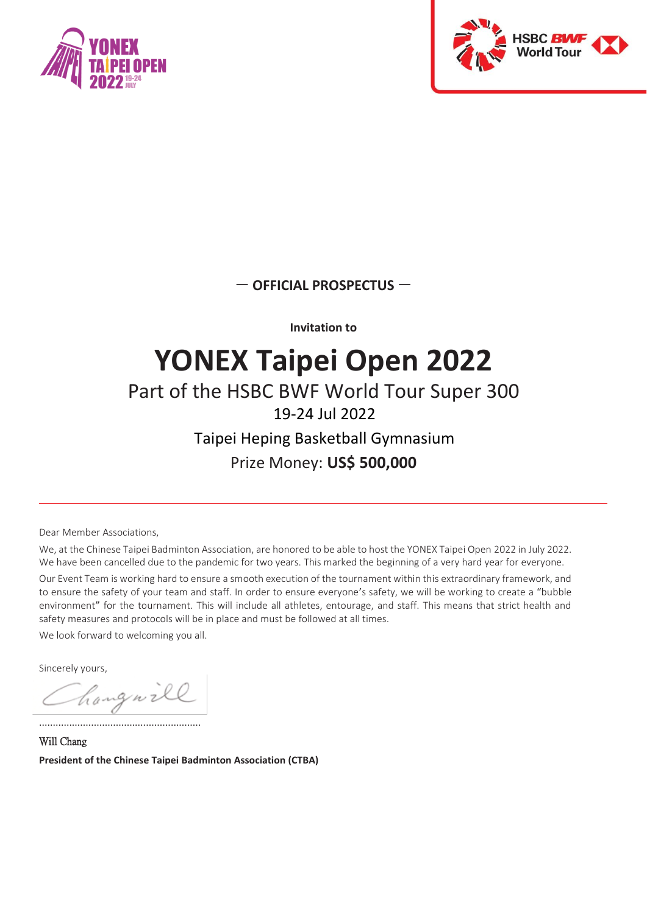



— **OFFICIAL PROSPECTUS** —

**Invitation to**

# **YONEX Taipei Open 2022**

## Part of the HSBC BWF World Tour Super 300

### 19-24 Jul 2022

### Taipei Heping Basketball Gymnasium Prize Money: **US\$ 500,000**

Dear Member Associations,

We, at the Chinese Taipei Badminton Association, are honored to be able to host the YONEX Taipei Open 2022 in July 2022. We have been cancelled due to the pandemic for two years. This marked the beginning of a very hard year for everyone.

Our Event Team is working hard to ensure a smooth execution of the tournament within this extraordinary framework, and to ensure the safety of your team and staff. In order to ensure everyone's safety, we will be working to create a "bubble environment" for the tournament. This will include all athletes, entourage, and staff. This means that strict health and safety measures and protocols will be in place and must be followed at all times.

We look forward to welcoming you all.

Sincerely yours,

hangnill

...........................................................

Will Chang **President of the Chinese Taipei Badminton Association (CTBA)**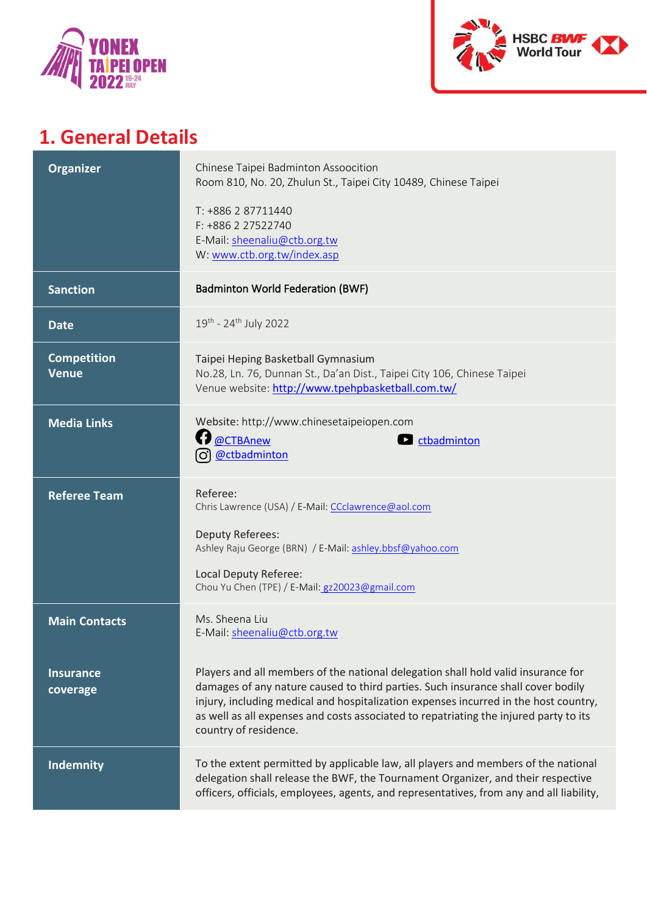



## **1. General Details**

| <b>Organizer</b>                   | Chinese Taipei Badminton Assoocition<br>Room 810, No. 20, Zhulun St., Taipei City 10489, Chinese Taipei<br>T: +886 2 87711440<br>F: +886 2 27522740<br>E-Mail: sheenaliu@ctb.org.tw<br>W: www.ctb.org.tw/index.asp                                                                                                                                                              |
|------------------------------------|---------------------------------------------------------------------------------------------------------------------------------------------------------------------------------------------------------------------------------------------------------------------------------------------------------------------------------------------------------------------------------|
| <b>Sanction</b>                    | <b>Badminton World Federation (BWF)</b>                                                                                                                                                                                                                                                                                                                                         |
| <b>Date</b>                        | 19th - 24th July 2022                                                                                                                                                                                                                                                                                                                                                           |
| <b>Competition</b><br><b>Venue</b> | Taipei Heping Basketball Gymnasium<br>No.28, Ln. 76, Dunnan St., Da'an Dist., Taipei City 106, Chinese Taipei<br>Venue website: http://www.tpehpbasketball.com.tw/                                                                                                                                                                                                              |
| <b>Media Links</b>                 | Website: http://www.chinesetaipeiopen.com<br>@CTBAnew<br>$\blacksquare$ ctbadminton<br>@ctbadminton<br>(ဝ)                                                                                                                                                                                                                                                                      |
| <b>Referee Team</b>                | Referee:<br>Chris Lawrence (USA) / E-Mail: CCclawrence@aol.com<br><b>Deputy Referees:</b><br>Ashley Raju George (BRN) / E-Mail: ashley.bbsf@yahoo.com<br>Local Deputy Referee:<br>Chou Yu Chen (TPE) / E-Mail: gz20023@gmail.com                                                                                                                                                |
| <b>Main Contacts</b>               | Ms. Sheena Liu<br>E-Mail: sheenaliu@ctb.org.tw                                                                                                                                                                                                                                                                                                                                  |
| <b>Insurance</b><br>coverage       | Players and all members of the national delegation shall hold valid insurance for<br>damages of any nature caused to third parties. Such insurance shall cover bodily<br>injury, including medical and hospitalization expenses incurred in the host country,<br>as well as all expenses and costs associated to repatriating the injured party to its<br>country of residence. |
| <b>Indemnity</b>                   | To the extent permitted by applicable law, all players and members of the national<br>delegation shall release the BWF, the Tournament Organizer, and their respective<br>officers, officials, employees, agents, and representatives, from any and all liability,                                                                                                              |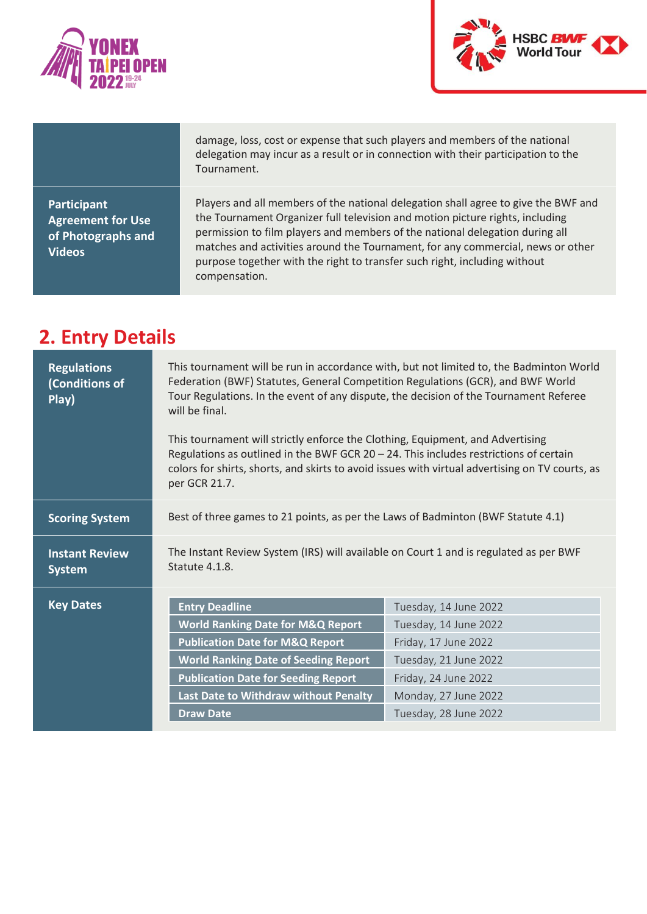



damage, loss, cost or expense that such players and members of the national delegation may incur as a result or in connection with their participation to the Tournament.

**Participant Agreement for Use of Photographs and Videos**

Players and all members of the national delegation shall agree to give the BWF and the Tournament Organizer full television and motion picture rights, including permission to film players and members of the national delegation during all matches and activities around the Tournament, for any commercial, news or other purpose together with the right to transfer such right, including without compensation.

### **2. Entry Details**

| <b>Regulations</b><br>(Conditions of<br>Play) | This tournament will be run in accordance with, but not limited to, the Badminton World<br>Federation (BWF) Statutes, General Competition Regulations (GCR), and BWF World<br>Tour Regulations. In the event of any dispute, the decision of the Tournament Referee<br>will be final.<br>This tournament will strictly enforce the Clothing, Equipment, and Advertising |                                                                                                 |  |
|-----------------------------------------------|-------------------------------------------------------------------------------------------------------------------------------------------------------------------------------------------------------------------------------------------------------------------------------------------------------------------------------------------------------------------------|-------------------------------------------------------------------------------------------------|--|
|                                               | Regulations as outlined in the BWF GCR 20 - 24. This includes restrictions of certain<br>per GCR 21.7.                                                                                                                                                                                                                                                                  | colors for shirts, shorts, and skirts to avoid issues with virtual advertising on TV courts, as |  |
| <b>Scoring System</b>                         | Best of three games to 21 points, as per the Laws of Badminton (BWF Statute 4.1)                                                                                                                                                                                                                                                                                        |                                                                                                 |  |
| <b>Instant Review</b><br><b>System</b>        | The Instant Review System (IRS) will available on Court 1 and is regulated as per BWF<br>Statute 4.1.8.                                                                                                                                                                                                                                                                 |                                                                                                 |  |
| <b>Key Dates</b>                              | <b>Entry Deadline</b>                                                                                                                                                                                                                                                                                                                                                   | Tuesday, 14 June 2022                                                                           |  |
|                                               | <b>World Ranking Date for M&amp;Q Report</b>                                                                                                                                                                                                                                                                                                                            | Tuesday, 14 June 2022                                                                           |  |
|                                               | <b>Publication Date for M&amp;Q Report</b>                                                                                                                                                                                                                                                                                                                              | Friday, 17 June 2022                                                                            |  |
|                                               | <b>World Ranking Date of Seeding Report</b>                                                                                                                                                                                                                                                                                                                             | Tuesday, 21 June 2022                                                                           |  |
|                                               | <b>Publication Date for Seeding Report</b>                                                                                                                                                                                                                                                                                                                              | Friday, 24 June 2022                                                                            |  |
|                                               | Last Date to Withdraw without Penalty                                                                                                                                                                                                                                                                                                                                   | Monday, 27 June 2022                                                                            |  |
|                                               | <b>Draw Date</b>                                                                                                                                                                                                                                                                                                                                                        | Tuesday, 28 June 2022                                                                           |  |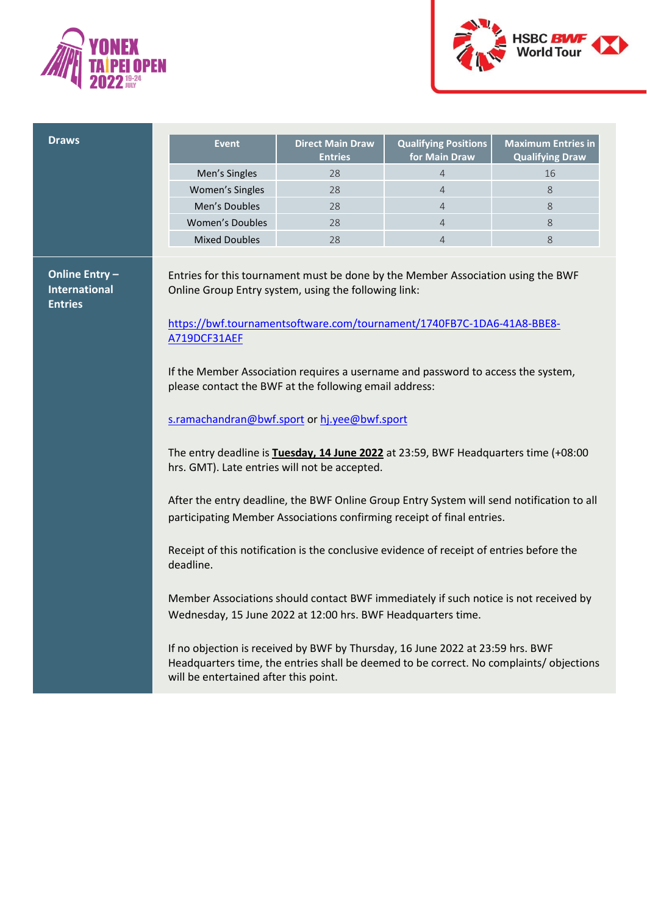



| Men's Singles<br>Women's Singles<br>Men's Doubles<br><b>Women's Doubles</b><br><b>Mixed Doubles</b><br>Online Entry-<br><b>International</b><br><b>Entries</b><br>A719DCF31AEF                                                 | <b>Direct Main Draw</b><br><b>Entries</b>                                                                                                                                                                                                                                                                                                                                                                                                                                                                                                                                                                                                                                                                                                                                                                                                                                                                                                                                           | <b>Qualifying Positions</b><br>for Main Draw | <b>Maximum Entries in</b><br><b>Qualifying Draw</b> |
|--------------------------------------------------------------------------------------------------------------------------------------------------------------------------------------------------------------------------------|-------------------------------------------------------------------------------------------------------------------------------------------------------------------------------------------------------------------------------------------------------------------------------------------------------------------------------------------------------------------------------------------------------------------------------------------------------------------------------------------------------------------------------------------------------------------------------------------------------------------------------------------------------------------------------------------------------------------------------------------------------------------------------------------------------------------------------------------------------------------------------------------------------------------------------------------------------------------------------------|----------------------------------------------|-----------------------------------------------------|
|                                                                                                                                                                                                                                | 28                                                                                                                                                                                                                                                                                                                                                                                                                                                                                                                                                                                                                                                                                                                                                                                                                                                                                                                                                                                  | $\overline{4}$                               | 16                                                  |
|                                                                                                                                                                                                                                | 28                                                                                                                                                                                                                                                                                                                                                                                                                                                                                                                                                                                                                                                                                                                                                                                                                                                                                                                                                                                  | 4                                            | 8                                                   |
|                                                                                                                                                                                                                                | 28                                                                                                                                                                                                                                                                                                                                                                                                                                                                                                                                                                                                                                                                                                                                                                                                                                                                                                                                                                                  | $\overline{4}$                               | 8                                                   |
|                                                                                                                                                                                                                                | 28                                                                                                                                                                                                                                                                                                                                                                                                                                                                                                                                                                                                                                                                                                                                                                                                                                                                                                                                                                                  | $\overline{4}$                               | 8                                                   |
|                                                                                                                                                                                                                                | 28                                                                                                                                                                                                                                                                                                                                                                                                                                                                                                                                                                                                                                                                                                                                                                                                                                                                                                                                                                                  | $\overline{4}$                               | 8                                                   |
| deadline.<br>If no objection is received by BWF by Thursday, 16 June 2022 at 23:59 hrs. BWF<br>Headquarters time, the entries shall be deemed to be correct. No complaints/objections<br>will be entertained after this point. | Entries for this tournament must be done by the Member Association using the BWF<br>Online Group Entry system, using the following link:<br>https://bwf.tournamentsoftware.com/tournament/1740FB7C-1DA6-41A8-BBE8-<br>If the Member Association requires a username and password to access the system,<br>please contact the BWF at the following email address:<br>s.ramachandran@bwf.sport or hj.yee@bwf.sport<br>The entry deadline is Tuesday, 14 June 2022 at 23:59, BWF Headquarters time (+08:00<br>hrs. GMT). Late entries will not be accepted.<br>After the entry deadline, the BWF Online Group Entry System will send notification to all<br>participating Member Associations confirming receipt of final entries.<br>Receipt of this notification is the conclusive evidence of receipt of entries before the<br>Member Associations should contact BWF immediately if such notice is not received by<br>Wednesday, 15 June 2022 at 12:00 hrs. BWF Headquarters time. |                                              |                                                     |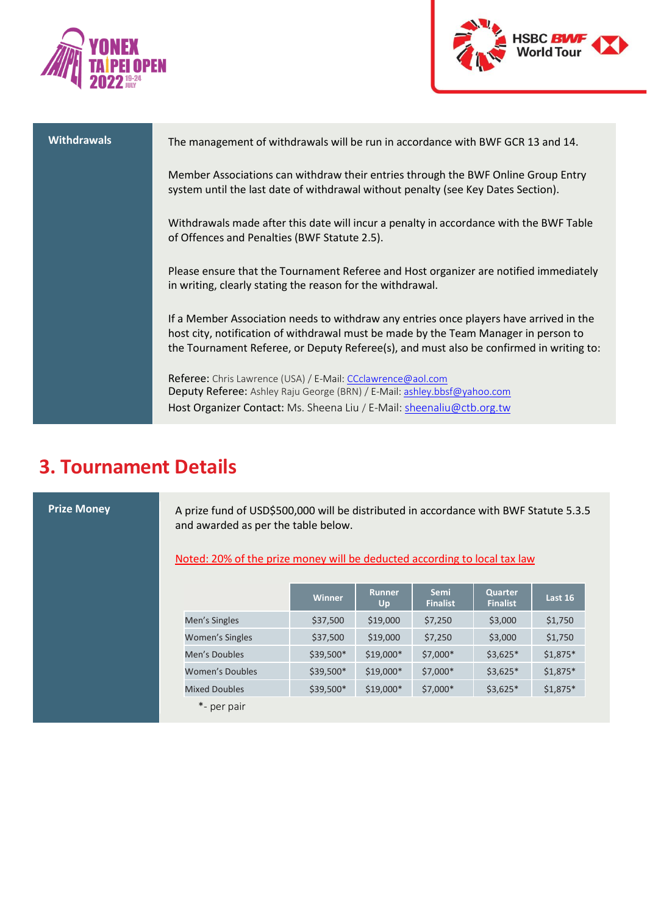



| <b>Withdrawals</b> | The management of withdrawals will be run in accordance with BWF GCR 13 and 14.                                                                                                                                                                                          |
|--------------------|--------------------------------------------------------------------------------------------------------------------------------------------------------------------------------------------------------------------------------------------------------------------------|
|                    | Member Associations can withdraw their entries through the BWF Online Group Entry<br>system until the last date of withdrawal without penalty (see Key Dates Section).                                                                                                   |
|                    | Withdrawals made after this date will incur a penalty in accordance with the BWF Table<br>of Offences and Penalties (BWF Statute 2.5).                                                                                                                                   |
|                    | Please ensure that the Tournament Referee and Host organizer are notified immediately<br>in writing, clearly stating the reason for the withdrawal.                                                                                                                      |
|                    | If a Member Association needs to withdraw any entries once players have arrived in the<br>host city, notification of withdrawal must be made by the Team Manager in person to<br>the Tournament Referee, or Deputy Referee(s), and must also be confirmed in writing to: |
|                    | Referee: Chris Lawrence (USA) / E-Mail: CCclawrence@aol.com<br>Deputy Referee: Ashley Raju George (BRN) / E-Mail: ashley.bbsf@yahoo.com<br>Host Organizer Contact: Ms. Sheena Liu / E-Mail: sheenaliu@ctb.org.tw                                                         |

### **3. Tournament Details**

**Prize Money** A prize fund of USD\$500,000 will be distributed in accordance with BWF Statute 5.3.5 and awarded as per the table below.

Noted: 20% of the prize money will be deducted according to local tax law

|                        | <b>Winner</b> | <b>Runner</b><br>Up | <b>Semi</b><br><b>Finalist</b> | <b>Quarter</b><br><b>Finalist</b> | Last 16   |
|------------------------|---------------|---------------------|--------------------------------|-----------------------------------|-----------|
| Men's Singles          | \$37,500      | \$19,000            | \$7,250                        | \$3,000                           | \$1,750   |
| Women's Singles        | \$37,500      | \$19,000            | \$7,250                        | \$3,000                           | \$1,750   |
| Men's Doubles          | \$39,500*     | \$19,000*           | \$7,000*                       | $$3,625*$                         | $$1,875*$ |
| <b>Women's Doubles</b> | \$39,500*     | $$19,000*$          | \$7,000*                       | $$3,625*$                         | $$1,875*$ |
| <b>Mixed Doubles</b>   | \$39,500*     | $$19,000*$          | \$7,000*                       | $$3,625*$                         | $$1,875*$ |
| *- per pair            |               |                     |                                |                                   |           |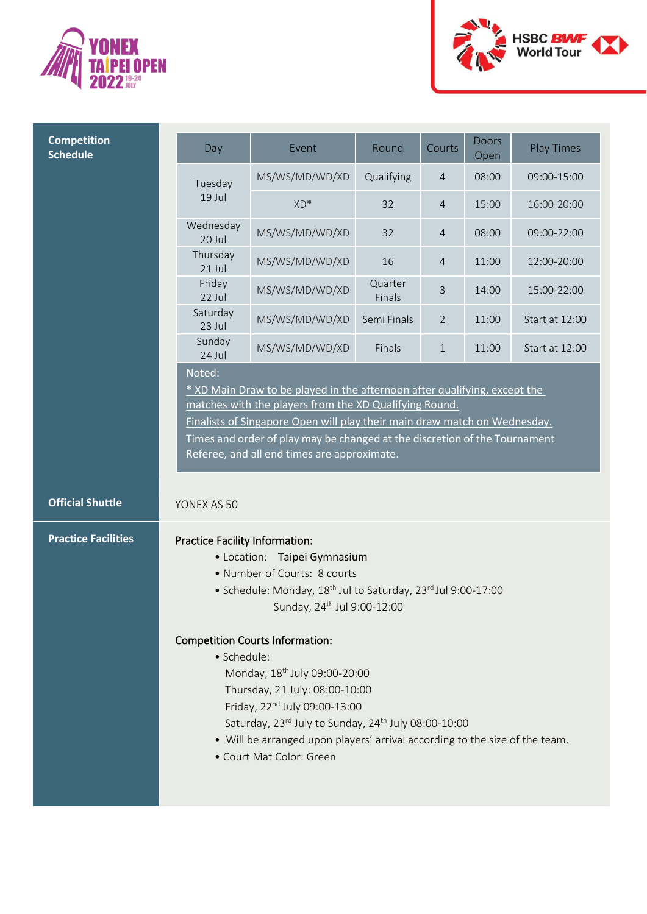



| <b>Competition</b><br><b>Schedule</b> | Day                                                  | Event                                                                                                                                                                                                                                                                                                                                                                                                                                                                                                                                                 | Round             | Courts         | <b>Doors</b><br>Open | <b>Play Times</b> |
|---------------------------------------|------------------------------------------------------|-------------------------------------------------------------------------------------------------------------------------------------------------------------------------------------------------------------------------------------------------------------------------------------------------------------------------------------------------------------------------------------------------------------------------------------------------------------------------------------------------------------------------------------------------------|-------------------|----------------|----------------------|-------------------|
|                                       | Tuesday                                              | MS/WS/MD/WD/XD                                                                                                                                                                                                                                                                                                                                                                                                                                                                                                                                        | Qualifying        | 4              | 08:00                | 09:00-15:00       |
|                                       | 19 Jul                                               | XD*                                                                                                                                                                                                                                                                                                                                                                                                                                                                                                                                                   | 32                | $\overline{4}$ | 15:00                | 16:00-20:00       |
|                                       | Wednesday<br>20 Jul                                  | MS/WS/MD/WD/XD                                                                                                                                                                                                                                                                                                                                                                                                                                                                                                                                        | 32                | 4              | 08:00                | 09:00-22:00       |
|                                       | Thursday<br>21 Jul                                   | MS/WS/MD/WD/XD                                                                                                                                                                                                                                                                                                                                                                                                                                                                                                                                        | 16                | 4              | 11:00                | 12:00-20:00       |
|                                       | Friday<br>22 Jul                                     | MS/WS/MD/WD/XD                                                                                                                                                                                                                                                                                                                                                                                                                                                                                                                                        | Quarter<br>Finals | 3              | 14:00                | 15:00-22:00       |
|                                       | Saturday<br>23 Jul                                   | MS/WS/MD/WD/XD                                                                                                                                                                                                                                                                                                                                                                                                                                                                                                                                        | Semi Finals       | 2              | 11:00                | Start at 12:00    |
|                                       | Sunday<br>24 Jul                                     | MS/WS/MD/WD/XD                                                                                                                                                                                                                                                                                                                                                                                                                                                                                                                                        | Finals            | $\mathbf 1$    | 11:00                | Start at 12:00    |
|                                       |                                                      | * XD Main Draw to be played in the afternoon after qualifying, except the<br>matches with the players from the XD Qualifying Round.<br>Finalists of Singapore Open will play their main draw match on Wednesday.<br>Times and order of play may be changed at the discretion of the Tournament<br>Referee, and all end times are approximate.                                                                                                                                                                                                         |                   |                |                      |                   |
| <b>Official Shuttle</b>               | YONEX AS 50                                          |                                                                                                                                                                                                                                                                                                                                                                                                                                                                                                                                                       |                   |                |                      |                   |
| <b>Practice Facilities</b>            | <b>Practice Facility Information:</b><br>· Schedule: | • Location: Taipei Gymnasium<br>• Number of Courts: 8 courts<br>• Schedule: Monday, 18 <sup>th</sup> Jul to Saturday, 23 <sup>rd</sup> Jul 9:00-17:00<br>Sunday, 24 <sup>th</sup> Jul 9:00-12:00<br><b>Competition Courts Information:</b><br>Monday, 18 <sup>th</sup> July 09:00-20:00<br>Thursday, 21 July: 08:00-10:00<br>Friday, 22 <sup>nd</sup> July 09:00-13:00<br>Saturday, 23rd July to Sunday, 24 <sup>th</sup> July 08:00-10:00<br>• Will be arranged upon players' arrival according to the size of the team.<br>• Court Mat Color: Green |                   |                |                      |                   |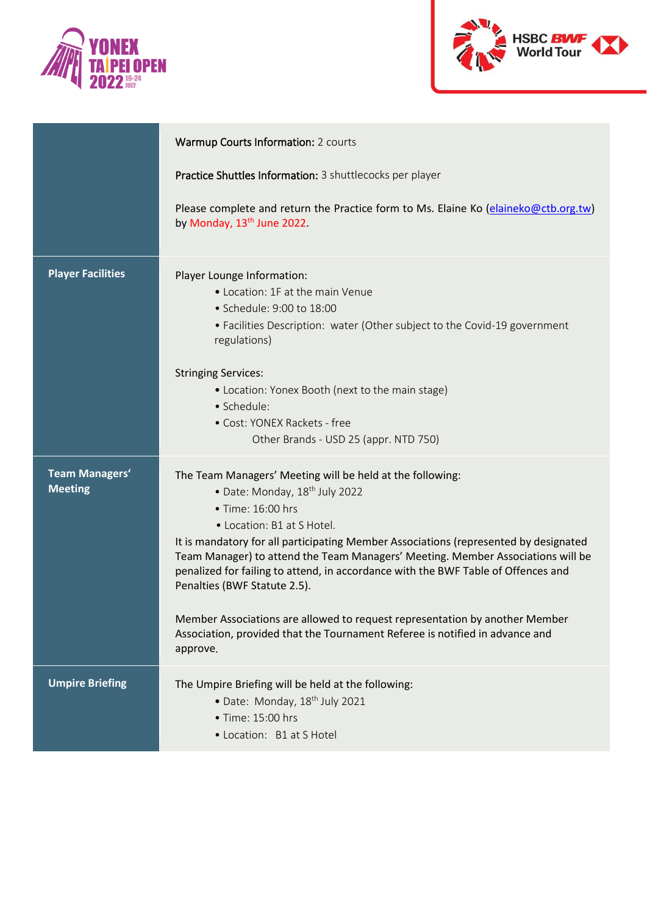



|                                         | Warmup Courts Information: 2 courts                                                                                                                                                                                                                                                                                                                                                                                                                                                                                                                                                                                                   |
|-----------------------------------------|---------------------------------------------------------------------------------------------------------------------------------------------------------------------------------------------------------------------------------------------------------------------------------------------------------------------------------------------------------------------------------------------------------------------------------------------------------------------------------------------------------------------------------------------------------------------------------------------------------------------------------------|
|                                         | Practice Shuttles Information: 3 shuttlecocks per player                                                                                                                                                                                                                                                                                                                                                                                                                                                                                                                                                                              |
|                                         | Please complete and return the Practice form to Ms. Elaine Ko (elaineko@ctb.org.tw)<br>by Monday, 13 <sup>th</sup> June 2022.                                                                                                                                                                                                                                                                                                                                                                                                                                                                                                         |
| <b>Player Facilities</b>                | Player Lounge Information:<br>• Location: 1F at the main Venue<br>• Schedule: 9:00 to 18:00<br>• Facilities Description: water (Other subject to the Covid-19 government<br>regulations)<br><b>Stringing Services:</b><br>• Location: Yonex Booth (next to the main stage)<br>• Schedule:<br>· Cost: YONEX Rackets - free<br>Other Brands - USD 25 (appr. NTD 750)                                                                                                                                                                                                                                                                    |
| <b>Team Managers'</b><br><b>Meeting</b> | The Team Managers' Meeting will be held at the following:<br>• Date: Monday, 18 <sup>th</sup> July 2022<br>• Time: 16:00 hrs<br>• Location: B1 at S Hotel.<br>It is mandatory for all participating Member Associations (represented by designated<br>Team Manager) to attend the Team Managers' Meeting. Member Associations will be<br>penalized for failing to attend, in accordance with the BWF Table of Offences and<br>Penalties (BWF Statute 2.5).<br>Member Associations are allowed to request representation by another Member<br>Association, provided that the Tournament Referee is notified in advance and<br>approve. |
| <b>Umpire Briefing</b>                  | The Umpire Briefing will be held at the following:<br>• Date: Monday, 18 <sup>th</sup> July 2021<br>• Time: 15:00 hrs<br>• Location: B1 at S Hotel                                                                                                                                                                                                                                                                                                                                                                                                                                                                                    |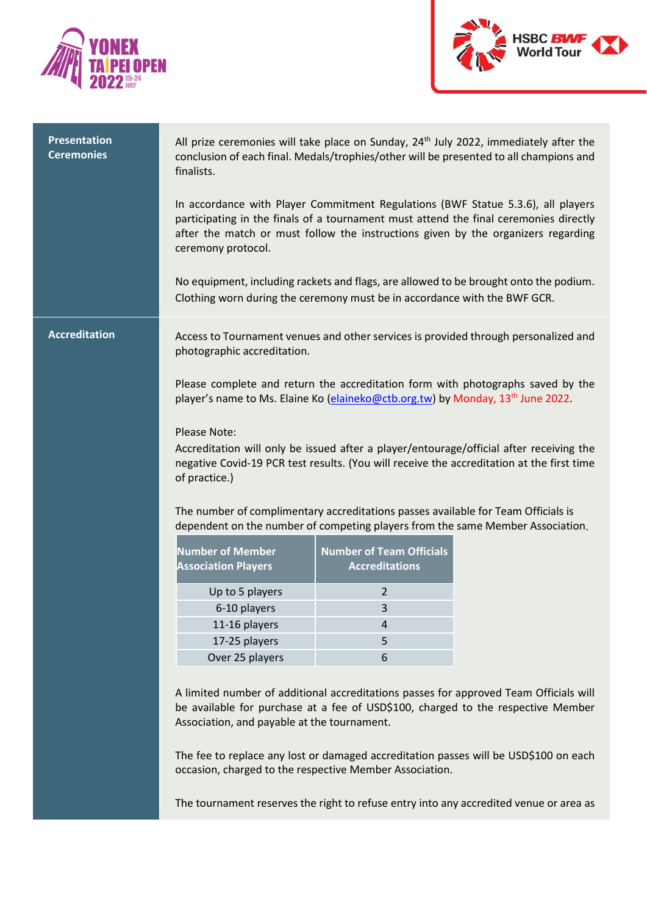



| <b>Presentation</b><br><b>Ceremonies</b> | finalists.                                                                                                                                                          |                                                          | All prize ceremonies will take place on Sunday, $24th$ July 2022, immediately after the<br>conclusion of each final. Medals/trophies/other will be presented to all champions and                                                                              |
|------------------------------------------|---------------------------------------------------------------------------------------------------------------------------------------------------------------------|----------------------------------------------------------|----------------------------------------------------------------------------------------------------------------------------------------------------------------------------------------------------------------------------------------------------------------|
|                                          | ceremony protocol.                                                                                                                                                  |                                                          | In accordance with Player Commitment Regulations (BWF Statue 5.3.6), all players<br>participating in the finals of a tournament must attend the final ceremonies directly<br>after the match or must follow the instructions given by the organizers regarding |
|                                          | Clothing worn during the ceremony must be in accordance with the BWF GCR.                                                                                           |                                                          | No equipment, including rackets and flags, are allowed to be brought onto the podium.                                                                                                                                                                          |
| <b>Accreditation</b>                     | photographic accreditation.                                                                                                                                         |                                                          | Access to Tournament venues and other services is provided through personalized and                                                                                                                                                                            |
|                                          | player's name to Ms. Elaine Ko (elaineko@ctb.org.tw) by Monday, 13 <sup>th</sup> June 2022.                                                                         |                                                          | Please complete and return the accreditation form with photographs saved by the                                                                                                                                                                                |
|                                          | <b>Please Note:</b><br>of practice.)                                                                                                                                |                                                          | Accreditation will only be issued after a player/entourage/official after receiving the<br>negative Covid-19 PCR test results. (You will receive the accreditation at the first time                                                                           |
|                                          | The number of complimentary accreditations passes available for Team Officials is<br>dependent on the number of competing players from the same Member Association. |                                                          |                                                                                                                                                                                                                                                                |
|                                          | <b>Number of Member</b><br><b>Association Players</b>                                                                                                               | <b>Number of Team Officials</b><br><b>Accreditations</b> |                                                                                                                                                                                                                                                                |
|                                          | Up to 5 players                                                                                                                                                     | $\overline{2}$                                           |                                                                                                                                                                                                                                                                |
|                                          | 6-10 players                                                                                                                                                        | 3                                                        |                                                                                                                                                                                                                                                                |
|                                          | 11-16 players                                                                                                                                                       | 4                                                        |                                                                                                                                                                                                                                                                |
|                                          | 17-25 players                                                                                                                                                       | 5                                                        |                                                                                                                                                                                                                                                                |
|                                          | Over 25 players                                                                                                                                                     | 6                                                        |                                                                                                                                                                                                                                                                |
|                                          |                                                                                                                                                                     |                                                          |                                                                                                                                                                                                                                                                |
|                                          | Association, and payable at the tournament.                                                                                                                         |                                                          | A limited number of additional accreditations passes for approved Team Officials will<br>be available for purchase at a fee of USD\$100, charged to the respective Member                                                                                      |
|                                          | occasion, charged to the respective Member Association.                                                                                                             |                                                          | The fee to replace any lost or damaged accreditation passes will be USD\$100 on each                                                                                                                                                                           |
|                                          |                                                                                                                                                                     |                                                          | The tournament reserves the right to refuse entry into any accredited venue or area as                                                                                                                                                                         |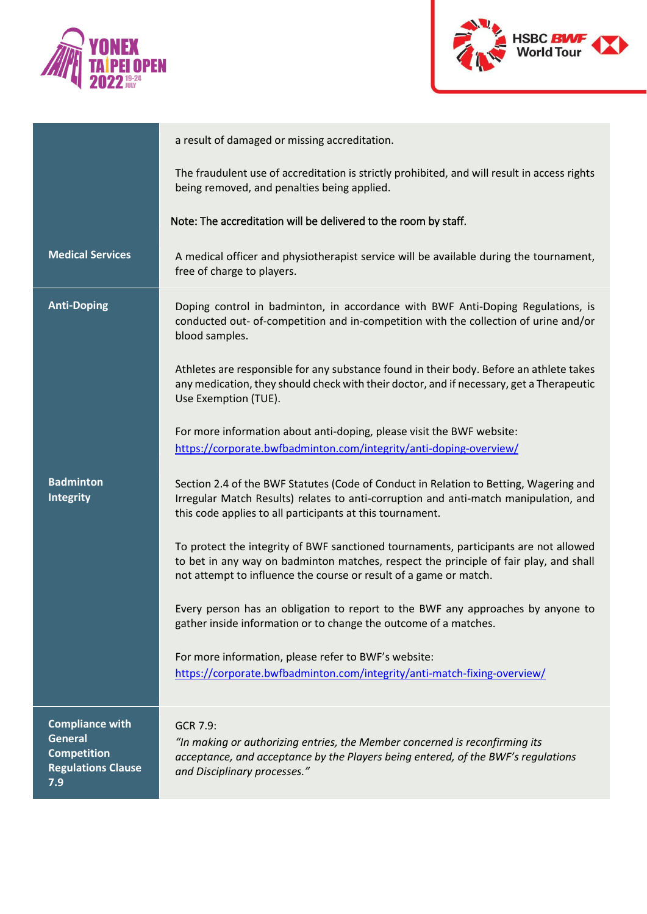



|                                                                                                    | a result of damaged or missing accreditation.                                                                                                                                                                                                      |
|----------------------------------------------------------------------------------------------------|----------------------------------------------------------------------------------------------------------------------------------------------------------------------------------------------------------------------------------------------------|
|                                                                                                    | The fraudulent use of accreditation is strictly prohibited, and will result in access rights<br>being removed, and penalties being applied.                                                                                                        |
|                                                                                                    | Note: The accreditation will be delivered to the room by staff.                                                                                                                                                                                    |
| <b>Medical Services</b>                                                                            | A medical officer and physiotherapist service will be available during the tournament,<br>free of charge to players.                                                                                                                               |
| <b>Anti-Doping</b>                                                                                 | Doping control in badminton, in accordance with BWF Anti-Doping Regulations, is<br>conducted out- of-competition and in-competition with the collection of urine and/or<br>blood samples.                                                          |
|                                                                                                    | Athletes are responsible for any substance found in their body. Before an athlete takes<br>any medication, they should check with their doctor, and if necessary, get a Therapeutic<br>Use Exemption (TUE).                                        |
|                                                                                                    | For more information about anti-doping, please visit the BWF website:<br>https://corporate.bwfbadminton.com/integrity/anti-doping-overview/                                                                                                        |
| <b>Badminton</b><br>Integrity                                                                      | Section 2.4 of the BWF Statutes (Code of Conduct in Relation to Betting, Wagering and<br>Irregular Match Results) relates to anti-corruption and anti-match manipulation, and<br>this code applies to all participants at this tournament.         |
|                                                                                                    | To protect the integrity of BWF sanctioned tournaments, participants are not allowed<br>to bet in any way on badminton matches, respect the principle of fair play, and shall<br>not attempt to influence the course or result of a game or match. |
|                                                                                                    | Every person has an obligation to report to the BWF any approaches by anyone to<br>gather inside information or to change the outcome of a matches.                                                                                                |
|                                                                                                    | For more information, please refer to BWF's website:<br>https://corporate.bwfbadminton.com/integrity/anti-match-fixing-overview/                                                                                                                   |
| <b>Compliance with</b><br><b>General</b><br><b>Competition</b><br><b>Regulations Clause</b><br>7.9 | GCR 7.9:<br>"In making or authorizing entries, the Member concerned is reconfirming its<br>acceptance, and acceptance by the Players being entered, of the BWF's regulations<br>and Disciplinary processes."                                       |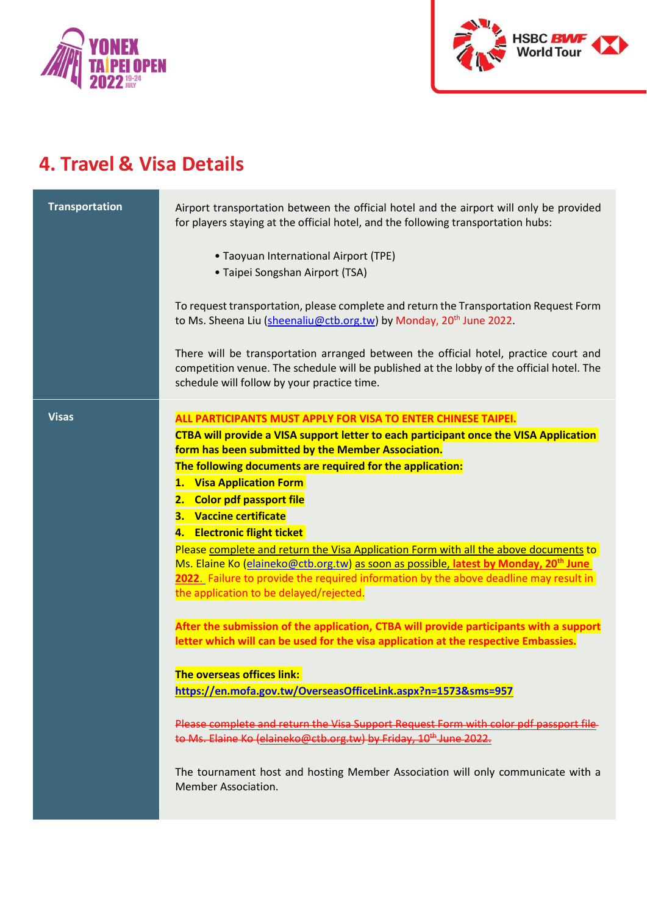



### **4. Travel & Visa Details**

| <b>Transportation</b> | Airport transportation between the official hotel and the airport will only be provided<br>for players staying at the official hotel, and the following transportation hubs:<br>• Taoyuan International Airport (TPE)<br>• Taipei Songshan Airport (TSA)<br>To request transportation, please complete and return the Transportation Request Form<br>to Ms. Sheena Liu (sheenaliu@ctb.org.tw) by Monday, 20 <sup>th</sup> June 2022.<br>There will be transportation arranged between the official hotel, practice court and<br>competition venue. The schedule will be published at the lobby of the official hotel. The<br>schedule will follow by your practice time.                                                                         |
|-----------------------|--------------------------------------------------------------------------------------------------------------------------------------------------------------------------------------------------------------------------------------------------------------------------------------------------------------------------------------------------------------------------------------------------------------------------------------------------------------------------------------------------------------------------------------------------------------------------------------------------------------------------------------------------------------------------------------------------------------------------------------------------|
| <b>Visas</b>          | ALL PARTICIPANTS MUST APPLY FOR VISA TO ENTER CHINESE TAIPEI.<br>CTBA will provide a VISA support letter to each participant once the VISA Application<br>form has been submitted by the Member Association.<br>The following documents are required for the application:<br>1. Visa Application Form<br>2. Color pdf passport file<br><b>Vaccine certificate</b><br>З.<br><b>Electronic flight ticket</b><br>4.<br>Please complete and return the Visa Application Form with all the above documents to<br>Ms. Elaine Ko (elaineko@ctb.org.tw) as soon as possible, latest by Monday, 20 <sup>th</sup> June<br>2022. Failure to provide the required information by the above deadline may result in<br>the application to be delayed/rejected. |
|                       | After the submission of the application, CTBA will provide participants with a support<br>letter which will can be used for the visa application at the respective Embassies.<br><b>The overseas offices link:</b><br>https://en.mofa.gov.tw/OverseasOfficeLink.aspx?n=1573&sms=957<br>Please complete and return the Visa Support Request Form with color pdf passport file<br>to Ms. Elaine Ko (elaineko@ctb.org.tw) by Friday, 10 <sup>th</sup> June 2022.<br>The tournament host and hosting Member Association will only communicate with a<br>Member Association.                                                                                                                                                                          |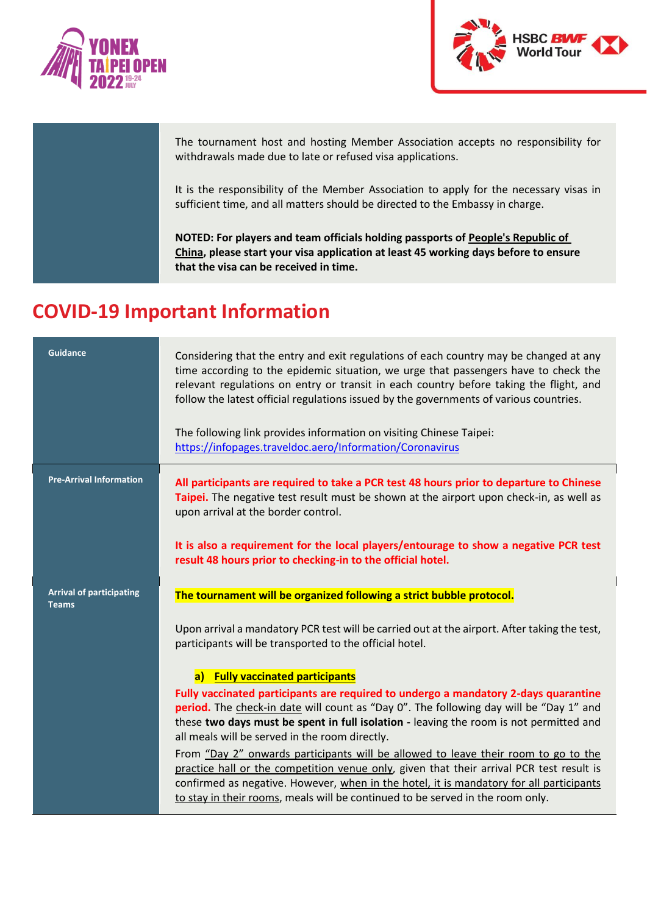



The tournament host and hosting Member Association accepts no responsibility for withdrawals made due to late or refused visa applications.

It is the responsibility of the Member Association to apply for the necessary visas in sufficient time, and all matters should be directed to the Embassy in charge.

**NOTED: For players and team officials holding passports of People's Republic of China, please start your visa application at least 45 working days before to ensure that the visa can be received in time.**

### **COVID-19 Important Information**

| <b>Guidance</b>                                 | Considering that the entry and exit regulations of each country may be changed at any<br>time according to the epidemic situation, we urge that passengers have to check the<br>relevant regulations on entry or transit in each country before taking the flight, and<br>follow the latest official regulations issued by the governments of various countries. |
|-------------------------------------------------|------------------------------------------------------------------------------------------------------------------------------------------------------------------------------------------------------------------------------------------------------------------------------------------------------------------------------------------------------------------|
|                                                 | The following link provides information on visiting Chinese Taipei:<br>https://infopages.traveldoc.aero/Information/Coronavirus                                                                                                                                                                                                                                  |
| <b>Pre-Arrival Information</b>                  | All participants are required to take a PCR test 48 hours prior to departure to Chinese<br>Taipei. The negative test result must be shown at the airport upon check-in, as well as<br>upon arrival at the border control.                                                                                                                                        |
|                                                 | It is also a requirement for the local players/entourage to show a negative PCR test<br>result 48 hours prior to checking-in to the official hotel.                                                                                                                                                                                                              |
| <b>Arrival of participating</b><br><b>Teams</b> | The tournament will be organized following a strict bubble protocol.                                                                                                                                                                                                                                                                                             |
|                                                 |                                                                                                                                                                                                                                                                                                                                                                  |
|                                                 | Upon arrival a mandatory PCR test will be carried out at the airport. After taking the test,<br>participants will be transported to the official hotel.                                                                                                                                                                                                          |
|                                                 | <b>Fully vaccinated participants</b><br>$\boxed{a}$                                                                                                                                                                                                                                                                                                              |
|                                                 | Fully vaccinated participants are required to undergo a mandatory 2-days quarantine                                                                                                                                                                                                                                                                              |
|                                                 | period. The check-in date will count as "Day O". The following day will be "Day 1" and                                                                                                                                                                                                                                                                           |
|                                                 | these two days must be spent in full isolation - leaving the room is not permitted and<br>all meals will be served in the room directly.                                                                                                                                                                                                                         |
|                                                 | From "Day 2" onwards participants will be allowed to leave their room to go to the                                                                                                                                                                                                                                                                               |
|                                                 | practice hall or the competition venue only, given that their arrival PCR test result is                                                                                                                                                                                                                                                                         |
|                                                 | confirmed as negative. However, when in the hotel, it is mandatory for all participants<br>to stay in their rooms, meals will be continued to be served in the room only.                                                                                                                                                                                        |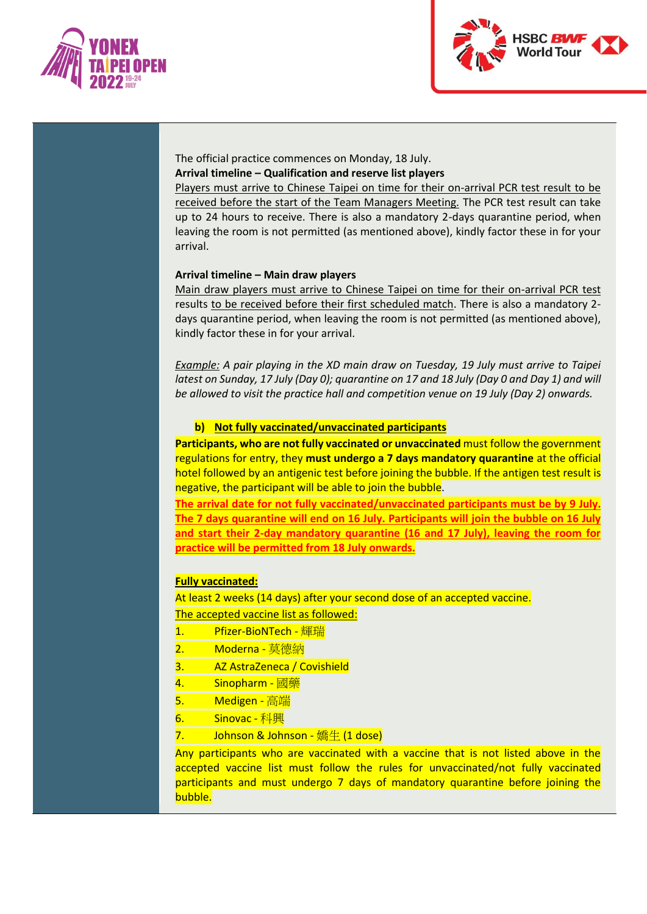



The official practice commences on Monday, 18 July. **Arrival timeline – Qualification and reserve list players**

Players must arrive to Chinese Taipei on time for their on-arrival PCR test result to be received before the start of the Team Managers Meeting. The PCR test result can take up to 24 hours to receive. There is also a mandatory 2-days quarantine period, when leaving the room is not permitted (as mentioned above), kindly factor these in for your arrival.

#### **Arrival timeline – Main draw players**

Main draw players must arrive to Chinese Taipei on time for their on-arrival PCR test results to be received before their first scheduled match. There is also a mandatory 2 days quarantine period, when leaving the room is not permitted (as mentioned above), kindly factor these in for your arrival.

*Example: A pair playing in the XD main draw on Tuesday, 19 July must arrive to Taipei latest on Sunday, 17 July (Day 0); quarantine on 17 and 18 July (Day 0 and Day 1) and will be allowed to visit the practice hall and competition venue on 19 July (Day 2) onwards.*

#### **b) Not fully vaccinated/unvaccinated participants**

**Participants, who are not fully vaccinated or unvaccinated** must follow the government regulations for entry, they **must undergo a 7 days mandatory quarantine** at the official hotel followed by an antigenic test before joining the bubble. If the antigen test result is negative, the participant will be able to join the bubble.

**The arrival date for not fully vaccinated/unvaccinated participants must be by 9 July. The 7 days quarantine will end on 16 July. Participants will join the bubble on 16 July and start their 2-day mandatory quarantine (16 and 17 July), leaving the room for practice will be permitted from 18 July onwards.**

#### **Fully vaccinated:**

At least 2 weeks (14 days) after your second dose of an accepted vaccine. The accepted vaccine list as followed:

- 1. Pfizer-BioNTech 輝瑞
- 2. Moderna 莫德納
- 3. AZ AstraZeneca / Covishield
- 4. Sinopharm 國藥
- 5. Medigen 高端
- **6.** Sinovac 科興
- $7.$  Johnson & Johnson 嬌生 (1 dose)

Any participants who are vaccinated with a vaccine that is not listed above in the accepted vaccine list must follow the rules for unvaccinated/not fully vaccinated participants and must undergo 7 days of mandatory quarantine before joining the bubble.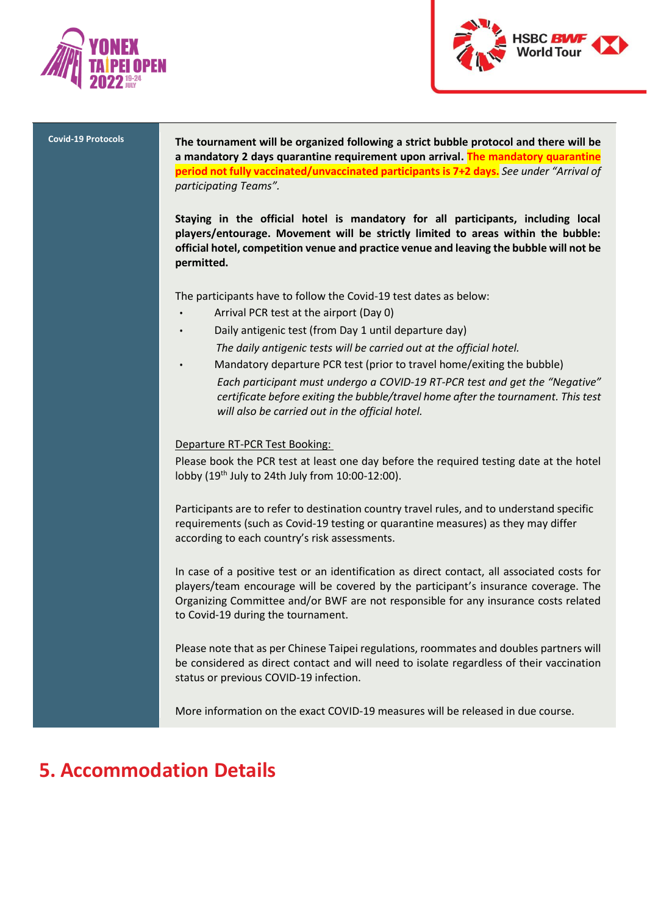



**Covid-19 Protocols The tournament will be organized following a strict bubble protocol and there will be a mandatory 2 days quarantine requirement upon arrival. The mandatory quarantine period not fully vaccinated/unvaccinated participants is 7+2 days.** *See under "Arrival of participating Teams".*

> **Staying in the official hotel is mandatory for all participants, including local players/entourage. Movement will be strictly limited to areas within the bubble: official hotel, competition venue and practice venue and leaving the bubble will not be permitted.**

The participants have to follow the Covid-19 test dates as below:

- Arrival PCR test at the airport (Day 0)
- Daily antigenic test (from Day 1 until departure day)

*The daily antigenic tests will be carried out at the official hotel.* 

Mandatory departure PCR test (prior to travel home/exiting the bubble) *Each participant must undergo a COVID-19 RT-PCR test and get the "Negative" certificate before exiting the bubble/travel home after the tournament. This test will also be carried out in the official hotel.*

#### Departure RT-PCR Test Booking:

Please book the PCR test at least one day before the required testing date at the hotel lobby  $(19<sup>th</sup>$  July to 24th July from  $10:00-12:00$ ).

Participants are to refer to destination country travel rules, and to understand specific requirements (such as Covid-19 testing or quarantine measures) as they may differ according to each country's risk assessments.

In case of a positive test or an identification as direct contact, all associated costs for players/team encourage will be covered by the participant's insurance coverage. The Organizing Committee and/or BWF are not responsible for any insurance costs related to Covid-19 during the tournament.

Please note that as per Chinese Taipei regulations, roommates and doubles partners will be considered as direct contact and will need to isolate regardless of their vaccination status or previous COVID-19 infection.

More information on the exact COVID-19 measures will be released in due course.

### **5. Accommodation Details**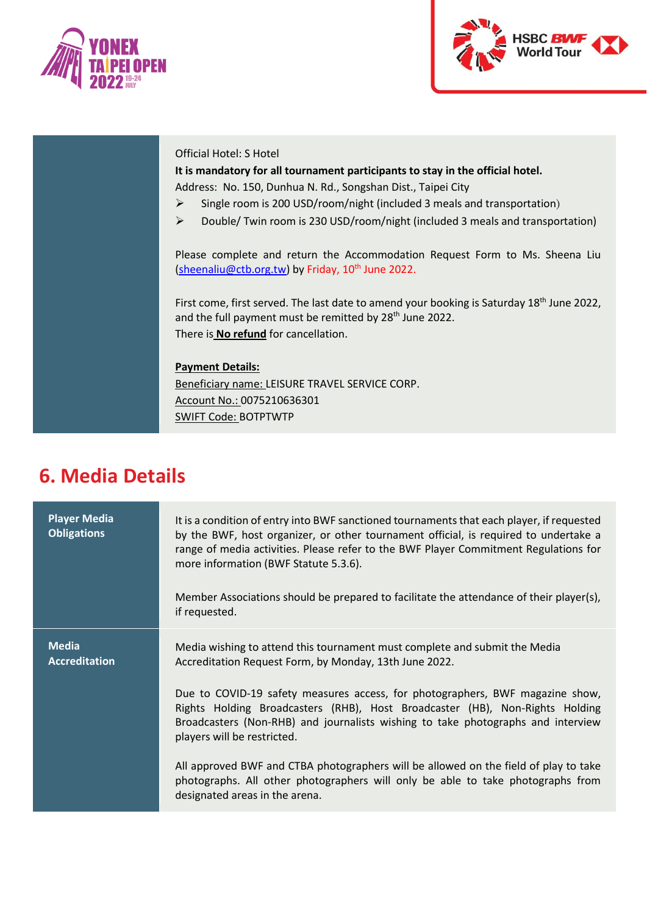



### Official Hotel: S Hotel

### **It is mandatory for all tournament participants to stay in the official hotel.** Address: No. 150, Dunhua N. Rd., Songshan Dist., Taipei City

➢ Single room is 200 USD/room/night (included 3 meals and transportation)

➢ Double/ Twin room is 230 USD/room/night (included 3 meals and transportation)

Please complete and return the Accommodation Request Form to Ms. Sheena Liu [\(sheenaliu@ctb.org.tw\)](mailto:sheenaliu@ctb.org.tw) by Friday, 10<sup>th</sup> June 2022.

First come, first served. The last date to amend your booking is Saturday 18<sup>th</sup> June 2022, and the full payment must be remitted by 28<sup>th</sup> June 2022. There is **No refund** for cancellation.

### **Payment Details:**

Beneficiary name: LEISURE TRAVEL SERVICE CORP. Account No.: 0075210636301 SWIFT Code: BOTPTWTP

### **6. Media Details**

| <b>Player Media</b><br><b>Obligations</b> | It is a condition of entry into BWF sanctioned tournaments that each player, if requested<br>by the BWF, host organizer, or other tournament official, is required to undertake a<br>range of media activities. Please refer to the BWF Player Commitment Regulations for<br>more information (BWF Statute 5.3.6).<br>Member Associations should be prepared to facilitate the attendance of their player(s),<br>if requested. |
|-------------------------------------------|--------------------------------------------------------------------------------------------------------------------------------------------------------------------------------------------------------------------------------------------------------------------------------------------------------------------------------------------------------------------------------------------------------------------------------|
| <b>Media</b><br><b>Accreditation</b>      | Media wishing to attend this tournament must complete and submit the Media<br>Accreditation Request Form, by Monday, 13th June 2022.<br>Due to COVID-19 safety measures access, for photographers, BWF magazine show,<br>Rights Holding Broadcasters (RHB), Host Broadcaster (HB), Non-Rights Holding<br>Broadcasters (Non-RHB) and journalists wishing to take photographs and interview<br>players will be restricted.       |
|                                           | All approved BWF and CTBA photographers will be allowed on the field of play to take<br>photographs. All other photographers will only be able to take photographs from<br>designated areas in the arena.                                                                                                                                                                                                                      |